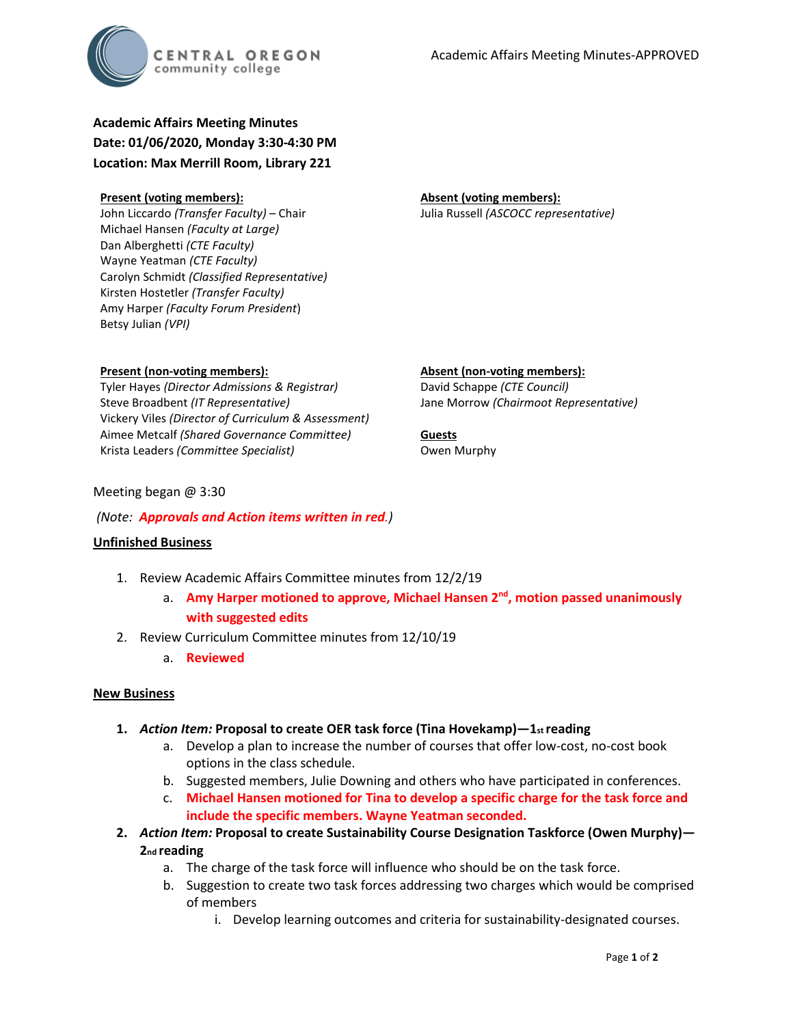

**Academic Affairs Meeting Minutes Date: 01/06/2020, Monday 3:30-4:30 PM Location: Max Merrill Room, Library 221**

#### **Present (voting members):**

**Present (non-voting members):**

Steve Broadbent *(IT Representative)*

Krista Leaders *(Committee Specialist)*

John Liccardo *(Transfer Faculty)* – Chair Michael Hansen *(Faculty at Large)* Dan Alberghetti *(CTE Faculty)* Wayne Yeatman *(CTE Faculty)* Carolyn Schmidt *(Classified Representative)* Kirsten Hostetler *(Transfer Faculty)* Amy Harper *(Faculty Forum President*) Betsy Julian *(VPI)*

Tyler Hayes *(Director Admissions & Registrar)*

Vickery Viles *(Director of Curriculum & Assessment)* Aimee Metcalf *(Shared Governance Committee)*

## **Absent (voting members):** Julia Russell *(ASCOCC representative)*

**Absent (non-voting members):** David Schappe *(CTE Council)* Jane Morrow *(Chairmoot Representative)*

#### **Guests** Owen Murphy

Meeting began @ 3:30

## *(Note: Approvals and Action items written in red.)*

## **Unfinished Business**

- 1. Review Academic Affairs Committee minutes from 12/2/19
	- a. **Amy Harper motioned to approve, Michael Hansen 2nd, motion passed unanimously with suggested edits**
- 2. Review Curriculum Committee minutes from 12/10/19
	- a. **Reviewed**

## **New Business**

- **1.** *Action Item:* **Proposal to create OER task force (Tina Hovekamp)—1st reading** 
	- a. Develop a plan to increase the number of courses that offer low-cost, no-cost book options in the class schedule.
	- b. Suggested members, Julie Downing and others who have participated in conferences.
	- c. **Michael Hansen motioned for Tina to develop a specific charge for the task force and include the specific members. Wayne Yeatman seconded.**
- **2.** *Action Item:* **Proposal to create Sustainability Course Designation Taskforce (Owen Murphy)— 2nd reading** 
	- a. The charge of the task force will influence who should be on the task force.
	- b. Suggestion to create two task forces addressing two charges which would be comprised of members
		- i. Develop learning outcomes and criteria for sustainability-designated courses.